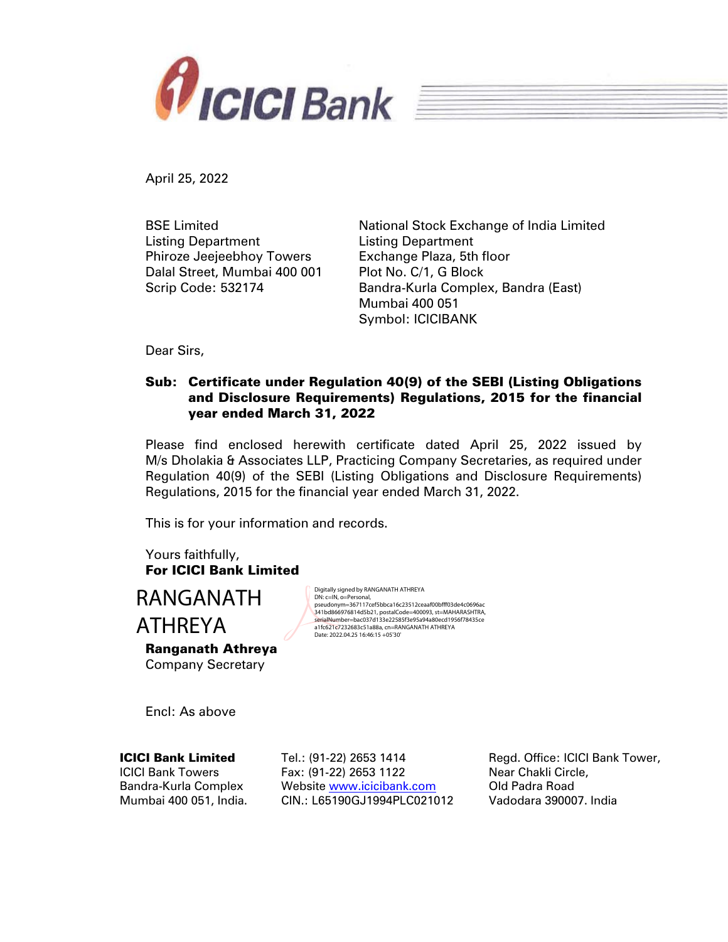

April 25, 2022

BSE Limited Listing Department Phiroze Jeejeebhoy Towers Dalal Street, Mumbai 400 001 Scrip Code: 532174

National Stock Exchange of India Limited Listing Department Exchange Plaza, 5th floor Plot No. C/1, G Block Bandra-Kurla Complex, Bandra (East) Mumbai 400 051 Symbol: ICICIBANK

Dear Sirs,

## Sub: Certificate under Regulation 40(9) of the SEBI (Listing Obligations and Disclosure Requirements) Regulations, 2015 for the financial year ended March 31, 2022

Please find enclosed herewith certificate dated April 25, 2022 issued by M/s Dholakia & Associates LLP, Practicing Company Secretaries, as required under Regulation 40(9) of the SEBI (Listing Obligations and Disclosure Requirements) Regulations, 2015 for the financial year ended March 31, 2022.

This is for your information and records.

Yours faithfully, For ICICI Bank Limited

RANGANATH ATHREYA

Ranganath Athreya Company Secretary

Digitally signed by RANGANATH ATHREYA DN: c=IN, o=Personal, pseudonym=367117cef5bbca16c23512ceaaf00bfff03de4c0696ac 341bd866976814d5b21, postalCode=400093, st=MAHARASHTRA, serialNumber=bac037d133e22585f3e95a94a80ecd1956f78435ce a1fc621c7232683c51a88a, cn=RANGANATH ATHREYA Date: 2022.04.25 16:46:15 +05'30'

Encl: As above

#### ICICI Bank Limited

ICICI Bank Towers Bandra-Kurla Complex Mumbai 400 051, India. Tel.: (91-22) 2653 1414 Fax: (91-22) 2653 1122 Website www.icicibank.com CIN.: L65190GJ1994PLC021012

Regd. Office: ICICI Bank Tower, Near Chakli Circle, Old Padra Road Vadodara 390007. India